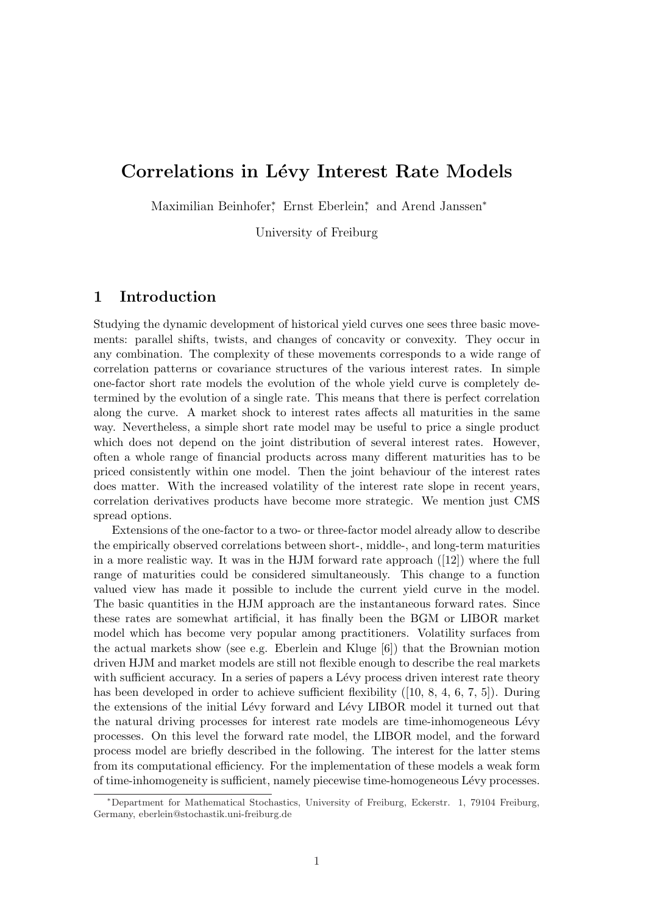# Correlations in Lévy Interest Rate Models

Maximilian Beinhofer<sup>\*</sup>, Ernst Eberlein<sup>\*</sup>, and Arend Janssen<sup>\*</sup>

University of Freiburg

#### 1 Introduction

Studying the dynamic development of historical yield curves one sees three basic movements: parallel shifts, twists, and changes of concavity or convexity. They occur in any combination. The complexity of these movements corresponds to a wide range of correlation patterns or covariance structures of the various interest rates. In simple one-factor short rate models the evolution of the whole yield curve is completely determined by the evolution of a single rate. This means that there is perfect correlation along the curve. A market shock to interest rates affects all maturities in the same way. Nevertheless, a simple short rate model may be useful to price a single product which does not depend on the joint distribution of several interest rates. However, often a whole range of financial products across many different maturities has to be priced consistently within one model. Then the joint behaviour of the interest rates does matter. With the increased volatility of the interest rate slope in recent years, correlation derivatives products have become more strategic. We mention just CMS spread options.

Extensions of the one-factor to a two- or three-factor model already allow to describe the empirically observed correlations between short-, middle-, and long-term maturities in a more realistic way. It was in the HJM forward rate approach ([12]) where the full range of maturities could be considered simultaneously. This change to a function valued view has made it possible to include the current yield curve in the model. The basic quantities in the HJM approach are the instantaneous forward rates. Since these rates are somewhat artificial, it has finally been the BGM or LIBOR market model which has become very popular among practitioners. Volatility surfaces from the actual markets show (see e.g. Eberlein and Kluge [6]) that the Brownian motion driven HJM and market models are still not flexible enough to describe the real markets with sufficient accuracy. In a series of papers a Lévy process driven interest rate theory has been developed in order to achieve sufficient flexibility ([10, 8, 4, 6, 7, 5]). During the extensions of the initial Lévy forward and Lévy LIBOR model it turned out that the natural driving processes for interest rate models are time-inhomogeneous Lévy processes. On this level the forward rate model, the LIBOR model, and the forward process model are briefly described in the following. The interest for the latter stems from its computational efficiency. For the implementation of these models a weak form of time-inhomogeneity is sufficient, namely piecewise time-homogeneous L´evy processes.

<sup>∗</sup>Department for Mathematical Stochastics, University of Freiburg, Eckerstr. 1, 79104 Freiburg, Germany, eberlein@stochastik.uni-freiburg.de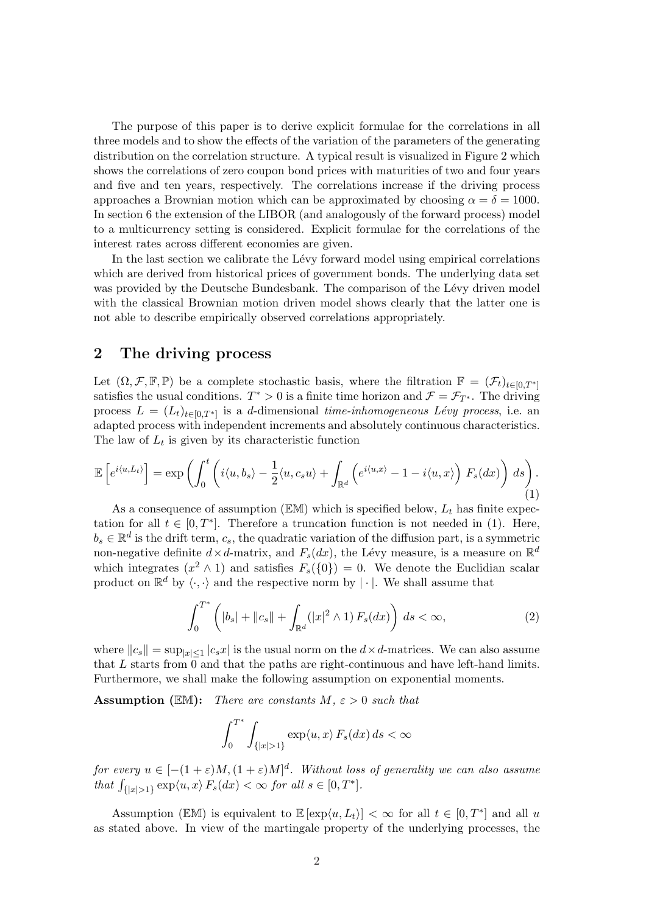The purpose of this paper is to derive explicit formulae for the correlations in all three models and to show the effects of the variation of the parameters of the generating distribution on the correlation structure. A typical result is visualized in Figure 2 which shows the correlations of zero coupon bond prices with maturities of two and four years and five and ten years, respectively. The correlations increase if the driving process approaches a Brownian motion which can be approximated by choosing  $\alpha = \delta = 1000$ . In section 6 the extension of the LIBOR (and analogously of the forward process) model to a multicurrency setting is considered. Explicit formulae for the correlations of the interest rates across different economies are given.

In the last section we calibrate the Lévy forward model using empirical correlations which are derived from historical prices of government bonds. The underlying data set was provided by the Deutsche Bundesbank. The comparison of the Lévy driven model with the classical Brownian motion driven model shows clearly that the latter one is not able to describe empirically observed correlations appropriately.

#### 2 The driving process

Let  $(\Omega, \mathcal{F}, \mathbb{F}, \mathbb{P})$  be a complete stochastic basis, where the filtration  $\mathbb{F} = (\mathcal{F}_t)_{t \in [0,T^*]}$ satisfies the usual conditions.  $T^* > 0$  is a finite time horizon and  $\mathcal{F} = \mathcal{F}_{T^*}$ . The driving process  $L = (L_t)_{t \in [0,T^*]}$  is a d-dimensional time-inhomogeneous Lévy process, i.e. an adapted process with independent increments and absolutely continuous characteristics. The law of  $L_t$  is given by its characteristic function

$$
\mathbb{E}\left[e^{i\langle u,L_t\rangle}\right] = \exp\left(\int_0^t \left(i\langle u,b_s\rangle - \frac{1}{2}\langle u,c_s u\rangle + \int_{\mathbb{R}^d} \left(e^{i\langle u,x\rangle} - 1 - i\langle u,x\rangle\right) F_s(dx)\right) ds\right).
$$
\n(1)

As a consequence of assumption ( $EM$ ) which is specified below,  $L_t$  has finite expectation for all  $t \in [0, T^*]$ . Therefore a truncation function is not needed in (1). Here,  $b_s \in \mathbb{R}^d$  is the drift term,  $c_s$ , the quadratic variation of the diffusion part, is a symmetric non-negative definite  $d \times d$ -matrix, and  $F_s(dx)$ , the Lévy measure, is a measure on  $\mathbb{R}^d$ which integrates  $(x^2 \wedge 1)$  and satisfies  $F_s({0}) = 0$ . We denote the Euclidian scalar product on  $\mathbb{R}^d$  by  $\langle \cdot, \cdot \rangle$  and the respective norm by  $|\cdot|$ . We shall assume that

$$
\int_0^{T^*} \left( |b_s| + \|c_s\| + \int_{\mathbb{R}^d} (|x|^2 \wedge 1) \, F_s(dx) \right) \, ds < \infty,\tag{2}
$$

where  $||c_s|| = \sup_{|x| \leq 1} |c_s x|$  is the usual norm on the  $d \times d$ -matrices. We can also assume that L starts from 0 and that the paths are right-continuous and have left-hand limits. Furthermore, we shall make the following assumption on exponential moments.

**Assumption** (EM): There are constants  $M, \varepsilon > 0$  such that

$$
\int_0^{T^*} \int_{\{|x|>1\}} \exp\langle u, x \rangle \, F_s(dx) \, ds < \infty
$$

for every  $u \in [-(1+\varepsilon)M, (1+\varepsilon)M]^d$ . Without loss of generality we can also assume that  $\int_{\{|x|>1\}} \exp\langle u, x \rangle F_s(dx) < \infty$  for all  $s \in [0, T^*]$ .

Assumption ( $\mathbb{EM}$ ) is equivalent to  $\mathbb{E}[\exp(u, L_t)] < \infty$  for all  $t \in [0, T^*]$  and all u as stated above. In view of the martingale property of the underlying processes, the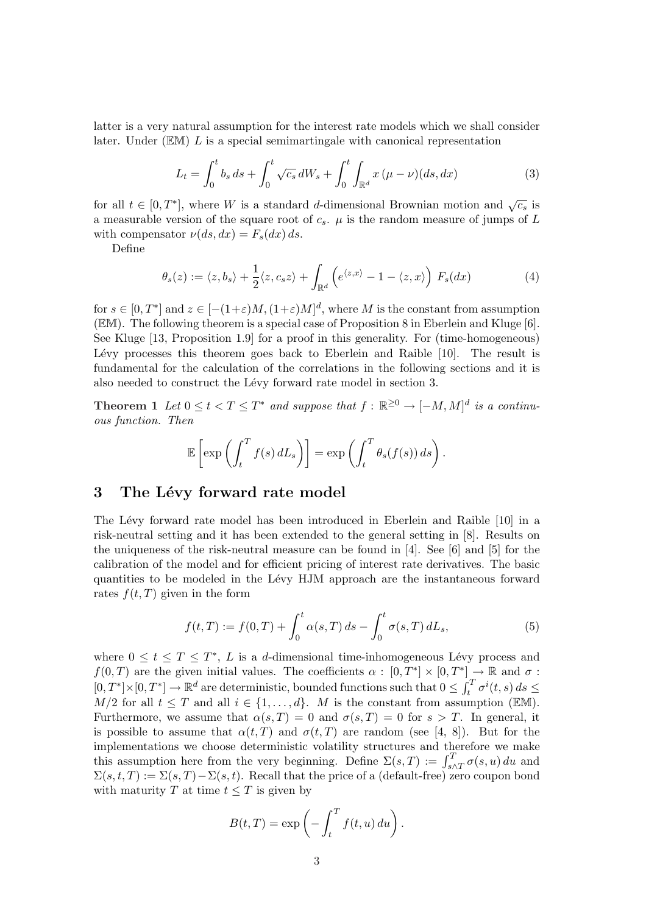latter is a very natural assumption for the interest rate models which we shall consider later. Under  $(EM) L$  is a special semimartingale with canonical representation

$$
L_t = \int_0^t b_s \, ds + \int_0^t \sqrt{c_s} \, dW_s + \int_0^t \int_{\mathbb{R}^d} x \, (\mu - \nu)(ds, dx) \tag{3}
$$

for all  $t \in [0, T^*]$ , where W is a standard d-dimensional Brownian motion and  $\sqrt{c_s}$  is a measurable version of the square root of  $c_s$ .  $\mu$  is the random measure of jumps of L with compensator  $\nu(ds, dx) = F_s(dx) ds$ .

Define

$$
\theta_s(z) := \langle z, b_s \rangle + \frac{1}{2} \langle z, c_s z \rangle + \int_{\mathbb{R}^d} \left( e^{\langle z, x \rangle} - 1 - \langle z, x \rangle \right) F_s(dx) \tag{4}
$$

for  $s \in [0, T^*]$  and  $z \in [-(1+\varepsilon)M, (1+\varepsilon)M]^d$ , where M is the constant from assumption (EM). The following theorem is a special case of Proposition 8 in Eberlein and Kluge [6]. See Kluge [13, Proposition 1.9] for a proof in this generality. For (time-homogeneous) Lévy processes this theorem goes back to Eberlein and Raible [10]. The result is fundamental for the calculation of the correlations in the following sections and it is also needed to construct the Lévy forward rate model in section 3.

**Theorem 1** Let  $0 \le t < T \le T^*$  and suppose that  $f : \mathbb{R}^{\ge 0} \to [-M, M]^d$  is a continuous function. Then

$$
\mathbb{E}\left[\exp\left(\int_t^T f(s) dL_s\right)\right] = \exp\left(\int_t^T \theta_s(f(s)) ds\right).
$$

### 3 The Lévy forward rate model

The Lévy forward rate model has been introduced in Eberlein and Raible [10] in a risk-neutral setting and it has been extended to the general setting in [8]. Results on the uniqueness of the risk-neutral measure can be found in [4]. See [6] and [5] for the calibration of the model and for efficient pricing of interest rate derivatives. The basic quantities to be modeled in the Lévy HJM approach are the instantaneous forward rates  $f(t, T)$  given in the form

$$
f(t,T) := f(0,T) + \int_0^t \alpha(s,T) \, ds - \int_0^t \sigma(s,T) \, dL_s,\tag{5}
$$

where  $0 \leq t \leq T \leq T^*$ , L is a d-dimensional time-inhomogeneous Lévy process and  $f(0,T)$  are the given initial values. The coefficients  $\alpha: [0,T^*] \times [0,T^*] \to \mathbb{R}$  and  $\sigma$ :  $[0, T^*] \times [0, T^*] \to \mathbb{R}^d$  are deterministic, bounded functions such that  $0 \leq \int_t^T$  $\int_t^T \sigma^i(t,s)\,ds \leq$  $M/2$  for all  $t \leq T$  and all  $i \in \{1, \ldots, d\}$ . M is the constant from assumption (EM). Furthermore, we assume that  $\alpha(s,T) = 0$  and  $\sigma(s,T) = 0$  for  $s > T$ . In general, it is possible to assume that  $\alpha(t, T)$  and  $\sigma(t, T)$  are random (see [4, 8]). But for the implementations we choose deterministic volatility structures and therefore we make miplementations we choose deterministic volatility structures and therefore we make<br>this assumption here from the very beginning. Define  $\Sigma(s,T) := \int_{s \wedge T}^{T} \sigma(s,u) du$  and  $\Sigma(s, t, T) := \Sigma(s, T) - \Sigma(s, t)$ . Recall that the price of a (default-free) zero coupon bond with maturity T at time  $t \leq T$  is given by

$$
B(t,T) = \exp\left(-\int_t^T f(t,u) \, du\right).
$$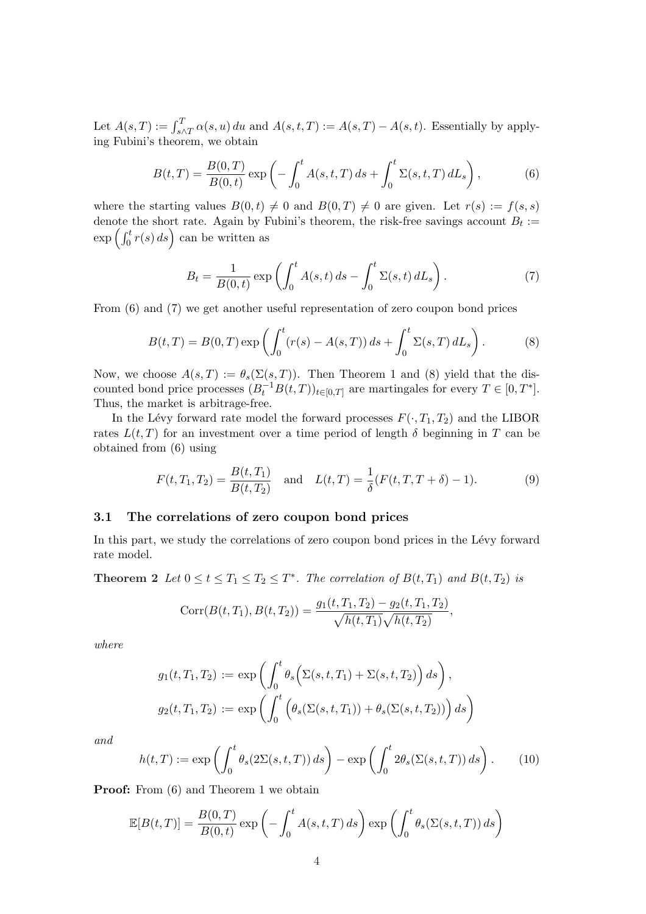Let  $A(s,T) := \int_{s \wedge T}^{T} \alpha(s, u) du$  and  $A(s,t,T) := A(s,T) - A(s,t)$ . Essentially by applying Fubini's theorem, we obtain

$$
B(t,T) = \frac{B(0,T)}{B(0,t)} \exp\left(-\int_0^t A(s,t,T) \, ds + \int_0^t \Sigma(s,t,T) \, dL_s\right),\tag{6}
$$

where the starting values  $B(0, t) \neq 0$  and  $B(0, T) \neq 0$  are given. Let  $r(s) := f(s, s)$ denote the short rate. Again by Fubini's theorem, the risk-free savings account  $B_t :=$ denote the short rate. Again by F<br>  $\exp\left(\int_0^t r(s) \, ds\right)$  can be written as

$$
B_t = \frac{1}{B(0,t)} \exp\left(\int_0^t A(s,t) \, ds - \int_0^t \Sigma(s,t) \, dL_s\right). \tag{7}
$$

From (6) and (7) we get another useful representation of zero coupon bond prices

$$
B(t,T) = B(0,T) \exp\left(\int_0^t (r(s) - A(s,T)) \, ds + \int_0^t \Sigma(s,T) \, dL_s\right). \tag{8}
$$

Now, we choose  $A(s,T) := \theta_s(\Sigma(s,T))$ . Then Theorem 1 and (8) yield that the discounted bond price processes  $(B_t^{-1}B(t,T))_{t\in[0,T]}$  are martingales for every  $T\in[0,T^*]$ . Thus, the market is arbitrage-free.

In the Lévy forward rate model the forward processes  $F(\cdot, T_1, T_2)$  and the LIBOR rates  $L(t,T)$  for an investment over a time period of length  $\delta$  beginning in T can be obtained from (6) using

$$
F(t, T_1, T_2) = \frac{B(t, T_1)}{B(t, T_2)} \quad \text{and} \quad L(t, T) = \frac{1}{\delta} (F(t, T, T + \delta) - 1). \tag{9}
$$

#### 3.1 The correlations of zero coupon bond prices

In this part, we study the correlations of zero coupon bond prices in the Lévy forward rate model.

**Theorem 2** Let  $0 \le t \le T_1 \le T_2 \le T^*$ . The correlation of  $B(t,T_1)$  and  $B(t,T_2)$  is

$$
Corr(B(t, T_1), B(t, T_2)) = \frac{g_1(t, T_1, T_2) - g_2(t, T_1, T_2)}{\sqrt{h(t, T_1)}\sqrt{h(t, T_2)}},
$$

where

$$
g_1(t, T_1, T_2) := \exp\left(\int_0^t \theta_s\Big(\Sigma(s, t, T_1) + \Sigma(s, t, T_2)\Big) ds\right),
$$
  

$$
g_2(t, T_1, T_2) := \exp\left(\int_0^t \Big(\theta_s(\Sigma(s, t, T_1)) + \theta_s(\Sigma(s, t, T_2))\Big) ds\right)
$$

and

$$
h(t,T) := \exp\left(\int_0^t \theta_s(2\Sigma(s,t,T)) ds\right) - \exp\left(\int_0^t 2\theta_s(\Sigma(s,t,T)) ds\right). \tag{10}
$$

**Proof:** From  $(6)$  and Theorem 1 we obtain

$$
\mathbb{E}[B(t,T)] = \frac{B(0,T)}{B(0,t)} \exp\left(-\int_0^t A(s,t,T) \, ds\right) \exp\left(\int_0^t \theta_s(\Sigma(s,t,T)) \, ds\right)
$$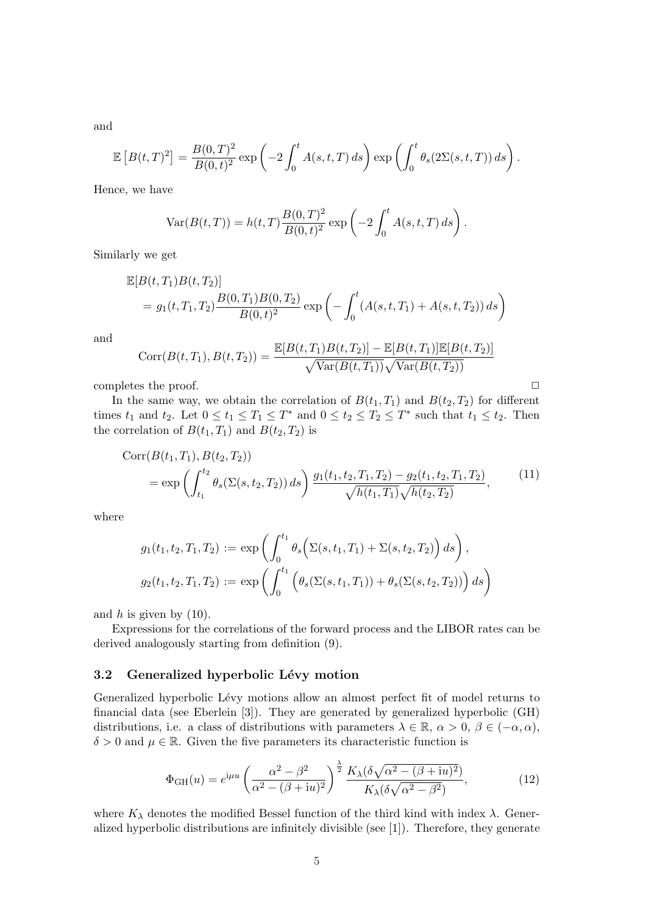and

$$
\mathbb{E}\left[B(t,T)^2\right] = \frac{B(0,T)^2}{B(0,t)^2} \exp\left(-2\int_0^t A(s,t,T) \, ds\right) \exp\left(\int_0^t \theta_s(2\Sigma(s,t,T)) \, ds\right).
$$

Hence, we have

$$
Var(B(t,T)) = h(t,T) \frac{B(0,T)^{2}}{B(0,t)^{2}} exp \left(-2 \int_{0}^{t} A(s,t,T) ds\right).
$$

Similarly we get

$$
\mathbb{E}[B(t, T_1)B(t, T_2)]
$$
  
=  $g_1(t, T_1, T_2) \frac{B(0, T_1)B(0, T_2)}{B(0, t)^2} \exp\left(-\int_0^t (A(s, t, T_1) + A(s, t, T_2)) ds\right)$ 

and

$$
Corr(B(t, T_1), B(t, T_2)) = \frac{\mathbb{E}[B(t, T_1)B(t, T_2)] - \mathbb{E}[B(t, T_1)]\mathbb{E}[B(t, T_2)]}{\sqrt{\text{Var}(B(t, T_1))}\sqrt{\text{Var}(B(t, T_2))}}
$$

completes the proof.  $\Box$ 

In the same way, we obtain the correlation of  $B(t_1, T_1)$  and  $B(t_2, T_2)$  for different times  $t_1$  and  $t_2$ . Let  $0 \le t_1 \le T_1 \le T^*$  and  $0 \le t_2 \le T_2 \le T^*$  such that  $t_1 \le t_2$ . Then the correlation of  $B(t_1, T_1)$  and  $B(t_2, T_2)$  is

$$
Corr(B(t_1, T_1), B(t_2, T_2))
$$
  
= exp  $\left( \int_{t_1}^{t_2} \theta_s(\Sigma(s, t_2, T_2)) ds \right) \frac{g_1(t_1, t_2, T_1, T_2) - g_2(t_1, t_2, T_1, T_2)}{\sqrt{h(t_1, T_1)} \sqrt{h(t_2, T_2)}},$  (11)

where

$$
g_1(t_1, t_2, T_1, T_2) := \exp \left( \int_0^{t_1} \theta_s \Big( \Sigma(s, t_1, T_1) + \Sigma(s, t_2, T_2) \Big) ds \right),
$$
  

$$
g_2(t_1, t_2, T_1, T_2) := \exp \left( \int_0^{t_1} \Big( \theta_s(\Sigma(s, t_1, T_1)) + \theta_s(\Sigma(s, t_2, T_2)) \Big) ds \right)
$$

and  $h$  is given by  $(10)$ .

Expressions for the correlations of the forward process and the LIBOR rates can be derived analogously starting from definition (9).

#### 3.2 Generalized hyperbolic Lévy motion

Generalized hyperbolic Lévy motions allow an almost perfect fit of model returns to financial data (see Eberlein [3]). They are generated by generalized hyperbolic (GH) distributions, i.e. a class of distributions with parameters  $\lambda \in \mathbb{R}$ ,  $\alpha > 0$ ,  $\beta \in (-\alpha, \alpha)$ ,  $\delta > 0$  and  $\mu \in \mathbb{R}$ . Given the five parameters its characteristic function is

$$
\Phi_{GH}(u) = e^{i\mu u} \left(\frac{\alpha^2 - \beta^2}{\alpha^2 - (\beta + iu)^2}\right)^{\frac{\lambda}{2}} \frac{K_{\lambda} (\delta \sqrt{\alpha^2 - (\beta + iu)^2})}{K_{\lambda} (\delta \sqrt{\alpha^2 - \beta^2})},
$$
(12)

where  $K_{\lambda}$  denotes the modified Bessel function of the third kind with index  $\lambda$ . Generalized hyperbolic distributions are infinitely divisible (see [1]). Therefore, they generate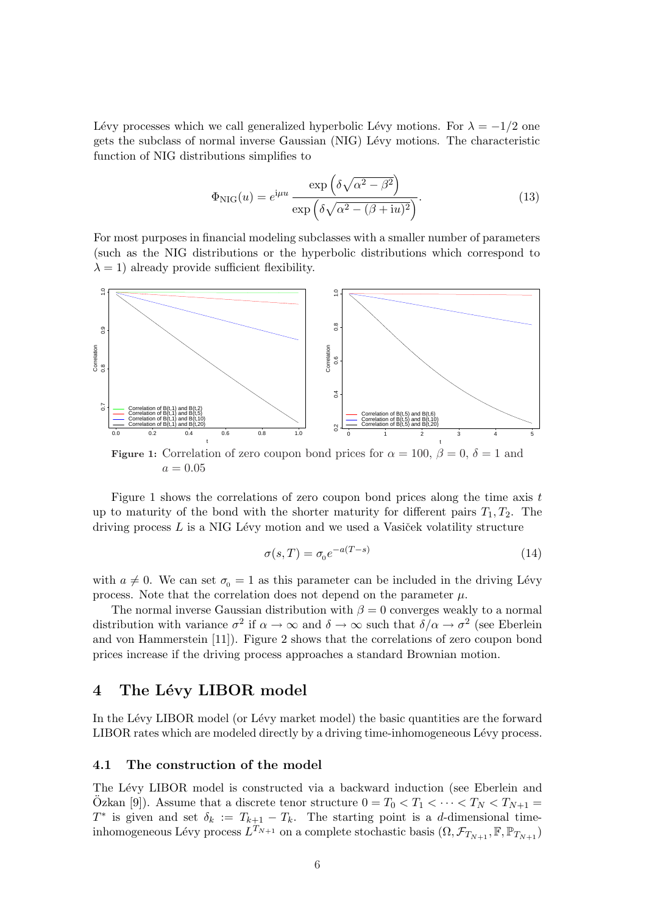Lévy processes which we call generalized hyperbolic Lévy motions. For  $\lambda = -1/2$  one gets the subclass of normal inverse Gaussian (NIG) Lévy motions. The characteristic function of NIG distributions simplifies to

$$
\Phi_{\rm NIG}(u) = e^{i\mu u} \frac{\exp\left(\delta\sqrt{\alpha^2 - \beta^2}\right)}{\exp\left(\delta\sqrt{\alpha^2 - (\beta + \mathrm{i}u)^2}\right)}.\tag{13}
$$

For most purposes in financial modeling subclasses with a smaller number of parameters (such as the NIG distributions or the hyperbolic distributions which correspond to  $\lambda = 1$ ) already provide sufficient flexibility.



 $a = 0.05$ 

Figure 1 shows the correlations of zero coupon bond prices along the time axis t up to maturity of the bond with the shorter maturity for different pairs  $T_1, T_2$ . The driving process  $L$  is a NIG Lévy motion and we used a Vasiček volatility structure

$$
\sigma(s,T) = \sigma_0 e^{-a(T-s)}\tag{14}
$$

with  $a \neq 0$ . We can set  $\sigma_0 = 1$  as this parameter can be included in the driving Lévy process. Note that the correlation does not depend on the parameter  $\mu$ .

The normal inverse Gaussian distribution with  $\beta = 0$  converges weakly to a normal distribution with variance  $\sigma^2$  if  $\alpha \to \infty$  and  $\delta \to \infty$  such that  $\delta/\alpha \to \sigma^2$  (see Eberlein and von Hammerstein [11]). Figure 2 shows that the correlations of zero coupon bond prices increase if the driving process approaches a standard Brownian motion.

# 4 The Lévy LIBOR model

In the Lévy LIBOR model (or Lévy market model) the basic quantities are the forward LIBOR rates which are modeled directly by a driving time-inhomogeneous Lévy process.

#### 4.1 The construction of the model

The Lévy LIBOR model is constructed via a backward induction (see Eberlein and Özkan [9]). Assume that a discrete tenor structure  $0 = T_0 < T_1 < \cdots < T_N < T_{N+1} =$  $T^*$  is given and set  $\delta_k := T_{k+1} - T_k$ . The starting point is a d-dimensional timeinhomogeneous Lévy process  $L^{T_{N+1}}$  on a complete stochastic basis  $(\Omega, \mathcal{F}_{T_{N+1}}, \mathbb{F}, \mathbb{P}_{T_{N+1}})$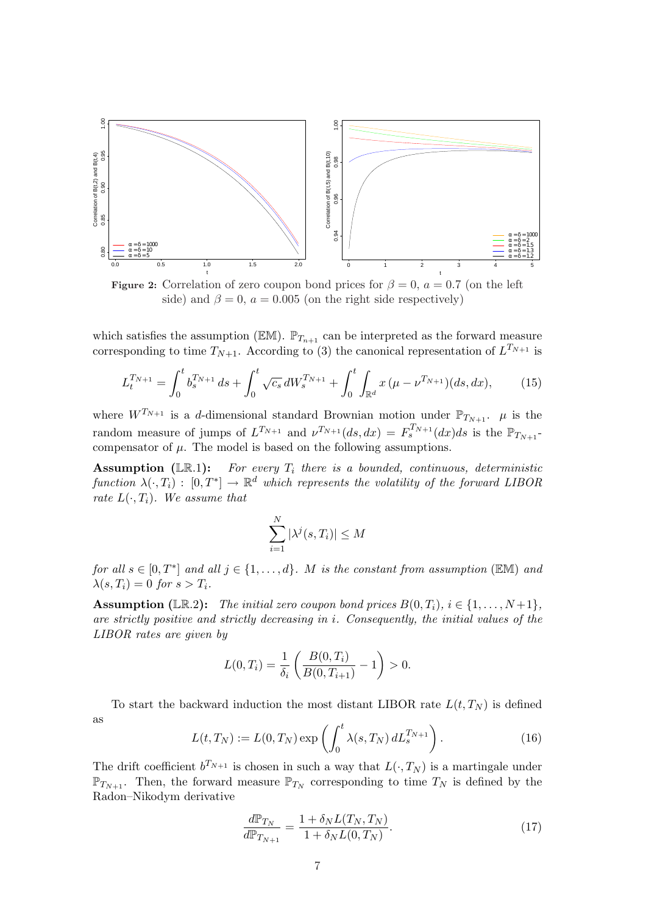

Figure 2: Correlation of zero coupon bond prices for  $\beta = 0$ ,  $a = 0.7$  (on the left side) and  $\beta = 0$ ,  $a = 0.005$  (on the right side respectively)

which satisfies the assumption ( $\mathbb{EM}$ ).  $\mathbb{P}_{T_{n+1}}$  can be interpreted as the forward measure corresponding to time  $T_{N+1}$ . According to (3) the canonical representation of  $L^{T_{N+1}}$  is

$$
L_t^{T_{N+1}} = \int_0^t b_s^{T_{N+1}} ds + \int_0^t \sqrt{c_s} dW_s^{T_{N+1}} + \int_0^t \int_{\mathbb{R}^d} x (\mu - \nu^{T_{N+1}}) (ds, dx), \tag{15}
$$

where  $W^{T_{N+1}}$  is a d-dimensional standard Brownian motion under  $\mathbb{P}_{T_{N+1}}$ .  $\mu$  is the random measure of jumps of  $L^{T_{N+1}}$  and  $\nu^{T_{N+1}}(ds, dx) = F_s^{T_{N+1}}(dx)ds$  is the  $\mathbb{P}_{T_{N+1}}$ compensator of  $\mu$ . The model is based on the following assumptions.

**Assumption** (LR.1): For every  $T_i$  there is a bounded, continuous, deterministic function  $\lambda(\cdot,T_i)$  :  $[0,T^*] \to \mathbb{R}^d$  which represents the volatility of the forward LIBOR rate  $L(\cdot, T_i)$ . We assume that

$$
\sum_{i=1}^{N} |\lambda^{j}(s, T_{i})| \leq M
$$

for all  $s \in [0, T^*]$  and all  $j \in \{1, ..., d\}$ . M is the constant from assumption (EM) and  $\lambda(s,T_i)=0$  for  $s>T_i$ .

**Assumption** (LR.2): The initial zero coupon bond prices  $B(0, T_i)$ ,  $i \in \{1, ..., N+1\}$ , are strictly positive and strictly decreasing in i. Consequently, the initial values of the LIBOR rates are given by

$$
L(0,T_i) = \frac{1}{\delta_i} \left( \frac{B(0,T_i)}{B(0,T_{i+1})} - 1 \right) > 0.
$$

To start the backward induction the most distant LIBOR rate  $L(t, T_N)$  is defined as  $\mathbf{r}$ 

$$
L(t,T_N) := L(0,T_N) \exp\left(\int_0^t \lambda(s,T_N) dL_s^{T_{N+1}}\right).
$$
 (16)

The drift coefficient  $b^{T_{N+1}}$  is chosen in such a way that  $L(\cdot, T_N)$  is a martingale under  $\mathbb{P}_{T_{N+1}}$ . Then, the forward measure  $\mathbb{P}_{T_N}$  corresponding to time  $T_N$  is defined by the Radon–Nikodym derivative

$$
\frac{d\mathbb{P}_{T_N}}{d\mathbb{P}_{T_{N+1}}} = \frac{1 + \delta_N L(T_N, T_N)}{1 + \delta_N L(0, T_N)}.
$$
\n(17)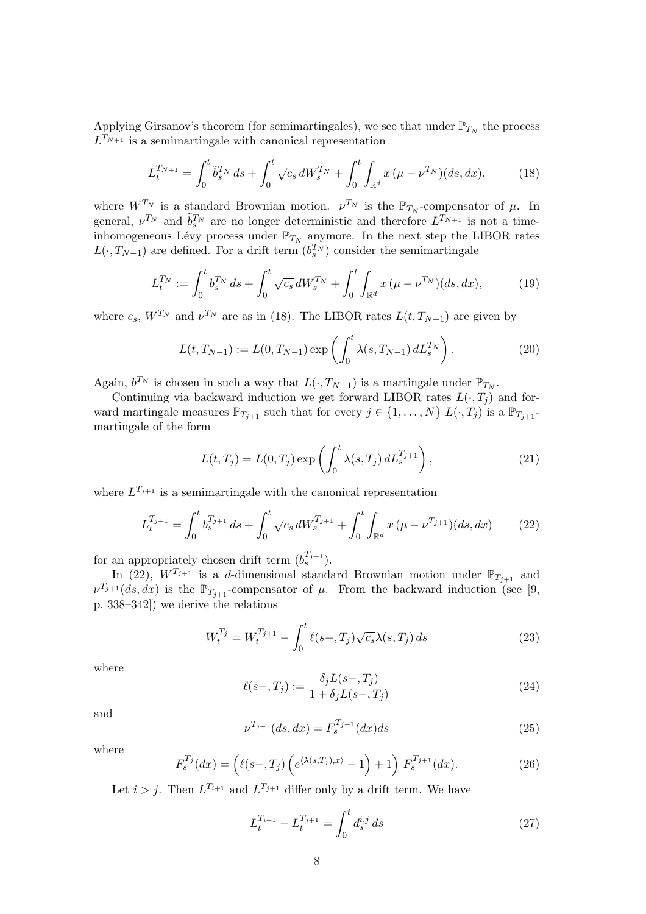Applying Girsanov's theorem (for semimartingales), we see that under  $\mathbb{P}_{T_N}$  the process  $L^{T_{N+1}}$  is a semimartingale with canonical representation

$$
L_t^{T_{N+1}} = \int_0^t \tilde{b}_s^{T_N} ds + \int_0^t \sqrt{c_s} dW_s^{T_N} + \int_0^t \int_{\mathbb{R}^d} x \, (\mu - \nu^{T_N})(ds, dx), \tag{18}
$$

where  $W^{T_N}$  is a standard Brownian motion.  $\nu^{T_N}$  is the  $\mathbb{P}_{T_N}$ -compensator of  $\mu$ . In general,  $\nu^{T_N}$  and  $\tilde{b}_s^{T_N}$  are no longer deterministic and therefore  $L^{T_{N+1}}$  is not a timeinhomogeneous Lévy process under  $\mathbb{P}_{T_N}$  anymore. In the next step the LIBOR rates  $L(\cdot, T_{N-1})$  are defined. For a drift term  $(b_s^{T_N})$  consider the semimartingale

$$
L_t^{T_N} := \int_0^t b_s^{T_N} \, ds + \int_0^t \sqrt{c_s} \, dW_s^{T_N} + \int_0^t \int_{\mathbb{R}^d} x \, (\mu - \nu^{T_N})(ds, dx), \tag{19}
$$

where  $c_s$ ,  $W^{T_N}$  and  $\nu^{T_N}$  are as in (18). The LIBOR rates  $L(t, T_{N-1})$  are given by

$$
L(t, T_{N-1}) := L(0, T_{N-1}) \exp\left(\int_0^t \lambda(s, T_{N-1}) dL_s^{T_N}\right).
$$
 (20)

Again,  $b^{T_N}$  is chosen in such a way that  $L(\cdot, T_{N-1})$  is a martingale under  $\mathbb{P}_{T_N}$ .

Continuing via backward induction we get forward LIBOR rates  $L(\cdot, T_i)$  and forward martingale measures  $\mathbb{P}_{T_{j+1}}$  such that for every  $j \in \{1, ..., N\}$   $L(\cdot, T_j)$  is a  $\mathbb{P}_{T_{j+1}}$ martingale of the form

$$
L(t,T_j) = L(0,T_j) \exp\left(\int_0^t \lambda(s,T_j) dL_s^{T_{j+1}}\right),\tag{21}
$$

where  $L^{T_{j+1}}$  is a semimartingale with the canonical representation

$$
L_t^{T_{j+1}} = \int_0^t b_s^{T_{j+1}} ds + \int_0^t \sqrt{c_s} dW_s^{T_{j+1}} + \int_0^t \int_{\mathbb{R}^d} x (\mu - \nu^{T_{j+1}}) (ds, dx) \tag{22}
$$

for an appropriately chosen drift term  $(b_s^{T_{j+1}})$ .

In (22),  $W^{T_{j+1}}$  is a d-dimensional standard Brownian motion under  $\mathbb{P}_{T_{j+1}}$  and  $\nu^{T_{j+1}}(ds, dx)$  is the  $\mathbb{P}_{T_{j+1}}$ -compensator of  $\mu$ . From the backward induction (see [9, p. 338–342]) we derive the relations

$$
W_t^{T_j} = W_t^{T_{j+1}} - \int_0^t \ell(s-, T_j) \sqrt{c_s} \lambda(s, T_j) \, ds \tag{23}
$$

where

$$
\ell(s-,T_j) := \frac{\delta_j L(s-,T_j)}{1 + \delta_j L(s-,T_j)}
$$
\n(24)

and

$$
\nu^{T_{j+1}}(ds, dx) = F_s^{T_{j+1}}(dx)ds
$$
\n(25)

where

$$
F_s^{T_j}(dx) = \left(\ell(s-,T_j)\left(e^{\langle \lambda(s,T_j),x\rangle}-1\right)+1\right)F_s^{T_{j+1}}(dx). \tag{26}
$$

Let  $i > j$ . Then  $L^{T_{i+1}}$  and  $L^{T_{j+1}}$  differ only by a drift term. We have

$$
L_t^{T_{i+1}} - L_t^{T_{j+1}} = \int_0^t d_s^{i,j} \, ds \tag{27}
$$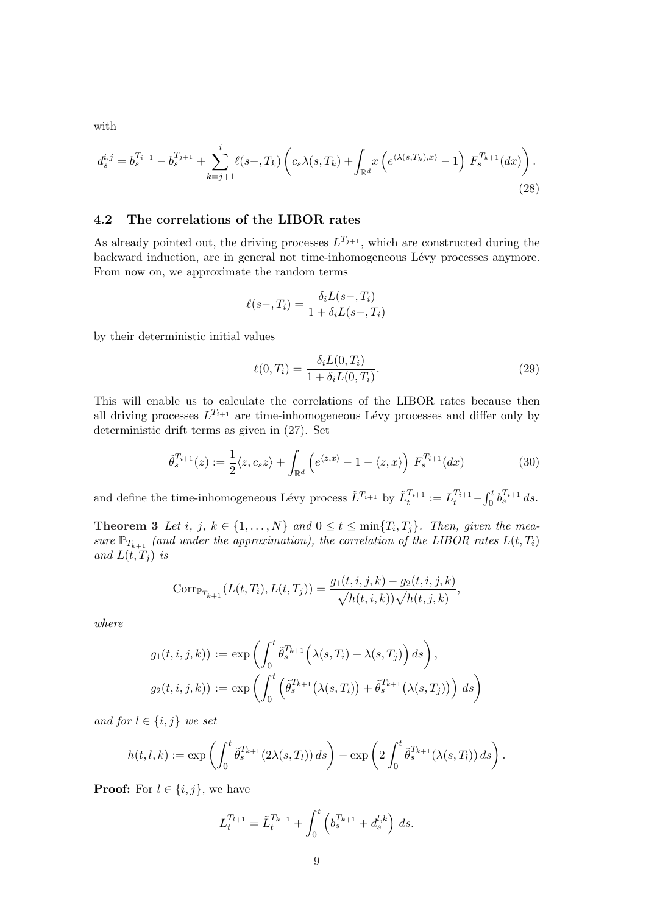with

$$
d_s^{i,j} = b_s^{T_{i+1}} - b_s^{T_{j+1}} + \sum_{k=j+1}^i \ell(s-, T_k) \left( c_s \lambda(s, T_k) + \int_{\mathbb{R}^d} x \left( e^{\langle \lambda(s, T_k), x \rangle} - 1 \right) F_s^{T_{k+1}}(dx) \right).
$$
\n(28)

#### 4.2 The correlations of the LIBOR rates

As already pointed out, the driving processes  $L^{T_{j+1}}$ , which are constructed during the backward induction, are in general not time-inhomogeneous Lévy processes anymore. From now on, we approximate the random terms

$$
\ell(s-,T_i) = \frac{\delta_i L(s-,T_i)}{1 + \delta_i L(s-,T_i)}
$$

by their deterministic initial values

$$
\ell(0, T_i) = \frac{\delta_i L(0, T_i)}{1 + \delta_i L(0, T_i)}.
$$
\n(29)

This will enable us to calculate the correlations of the LIBOR rates because then all driving processes  $L^{T_{i+1}}$  are time-inhomogeneous Lévy processes and differ only by deterministic drift terms as given in (27). Set

$$
\tilde{\theta}_s^{T_{i+1}}(z) := \frac{1}{2} \langle z, c_s z \rangle + \int_{\mathbb{R}^d} \left( e^{\langle z, x \rangle} - 1 - \langle z, x \rangle \right) F_s^{T_{i+1}}(dx)
$$
\n(30)

and define the time-inhomogeneous Lévy process  $\tilde{L}^{T_{i+1}}$  by  $\tilde{L}^{T_{i+1}}_t := L_t^{T_{i+1}}$  $rt$  $\int_0^t b_s^{T_{i+1}} ds.$ 

**Theorem 3** Let i, j,  $k \in \{1, ..., N\}$  and  $0 \le t \le \min\{T_i, T_j\}$ . Then, given the measure  $\mathbb{P}_{T_{k+1}}$  (and under the approximation), the correlation of the LIBOR rates  $L(t,T_i)$ and  $L(t, T_i)$  is

$$
Corr_{\mathbb{P}_{T_{k+1}}}(L(t,T_i),L(t,T_j)) = \frac{g_1(t,i,j,k) - g_2(t,i,j,k)}{\sqrt{h(t,i,k))}\sqrt{h(t,j,k)}},
$$

where

$$
g_1(t, i, j, k) := \exp \left( \int_0^t \tilde{\theta}_s^{T_{k+1}} \left( \lambda(s, T_i) + \lambda(s, T_j) \right) ds \right),
$$
  

$$
g_2(t, i, j, k) := \exp \left( \int_0^t \left( \tilde{\theta}_s^{T_{k+1}} \left( \lambda(s, T_i) \right) + \tilde{\theta}_s^{T_{k+1}} \left( \lambda(s, T_j) \right) \right) ds \right)
$$

and for  $l \in \{i, j\}$  we set

$$
h(t,l,k) := \exp\left(\int_0^t \tilde{\theta}_s^{T_{k+1}}(2\lambda(s,T_l)) ds\right) - \exp\left(2\int_0^t \tilde{\theta}_s^{T_{k+1}}(\lambda(s,T_l)) ds\right).
$$

**Proof:** For  $l \in \{i, j\}$ , we have

$$
L_t^{T_{l+1}} = \tilde{L}_t^{T_{k+1}} + \int_0^t \left(b_s^{T_{k+1}} + d_s^{l,k}\right) ds.
$$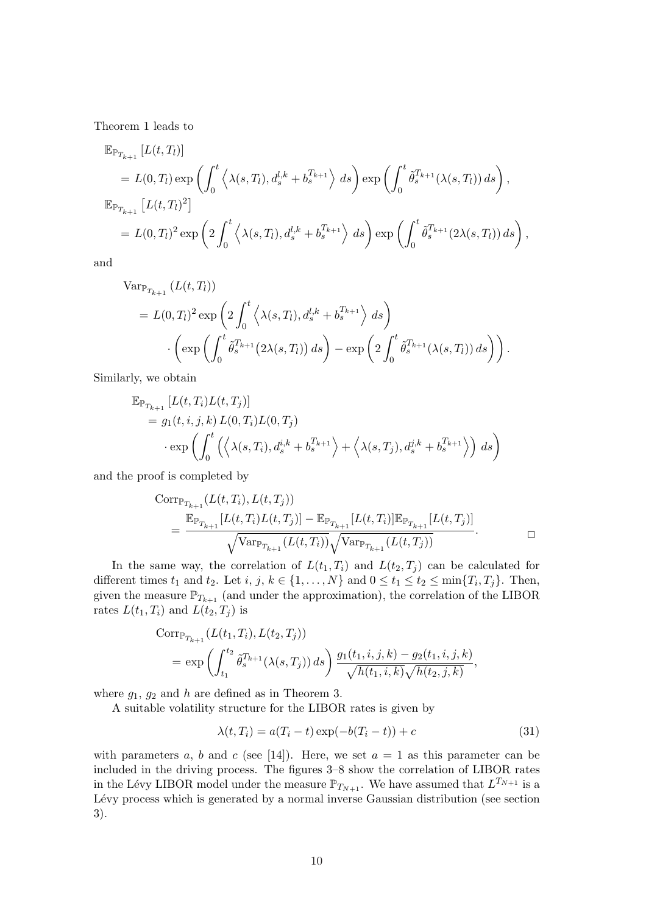Theorem 1 leads to

$$
\mathbb{E}_{\mathbb{P}_{T_{k+1}}}[L(t,T_{l})]
$$
\n
$$
= L(0,T_{l}) \exp \left( \int_{0}^{t} \left\langle \lambda(s,T_{l}), d_{s}^{l,k} + b_{s}^{T_{k+1}} \right\rangle ds \right) \exp \left( \int_{0}^{t} \tilde{\theta}_{s}^{T_{k+1}}(\lambda(s,T_{l})) ds \right),
$$
\n
$$
\mathbb{E}_{\mathbb{P}_{T_{k+1}}}[L(t,T_{l})^{2}]
$$
\n
$$
= L(0,T_{l})^{2} \exp \left( 2 \int_{0}^{t} \left\langle \lambda(s,T_{l}), d_{s}^{l,k} + b_{s}^{T_{k+1}} \right\rangle ds \right) \exp \left( \int_{0}^{t} \tilde{\theta}_{s}^{T_{k+1}}(2\lambda(s,T_{l})) ds \right),
$$

and

$$
\begin{split} \text{Var}_{\mathbb{P}_{T_{k+1}}} \left( L(t, T_l) \right) \\ &= L(0, T_l)^2 \exp \left( 2 \int_0^t \left\langle \lambda(s, T_l), d_s^{l, k} + b_s^{T_{k+1}} \right\rangle \, ds \right) \\ &\cdot \left( \exp \left( \int_0^t \tilde{\theta}_s^{T_{k+1}} \left( 2\lambda(s, T_l) \right) ds \right) - \exp \left( 2 \int_0^t \tilde{\theta}_s^{T_{k+1}} \left( \lambda(s, T_l) \right) ds \right) \right). \end{split}
$$

Similarly, we obtain

$$
\mathbb{E}_{\mathbb{P}_{T_{k+1}}} [L(t, T_i)L(t, T_j)]
$$
\n
$$
= g_1(t, i, j, k) L(0, T_i)L(0, T_j)
$$
\n
$$
\cdot \exp\left(\int_0^t \left(\left\langle \lambda(s, T_i), d_s^{i, k} + b_s^{T_{k+1}} \right\rangle + \left\langle \lambda(s, T_j), d_s^{j, k} + b_s^{T_{k+1}} \right\rangle \right) ds\right)
$$

and the proof is completed by

Corr<sub>$$
\mathbb{P}_{T_{k+1}}(L(t, T_i), L(t, T_j))
$$</sub>  
= 
$$
\frac{\mathbb{E}_{\mathbb{P}_{T_{k+1}}}[L(t, T_i)L(t, T_j)] - \mathbb{E}_{\mathbb{P}_{T_{k+1}}}[L(t, T_i)]\mathbb{E}_{\mathbb{P}_{T_{k+1}}}[L(t, T_j)]}{\sqrt{\text{Var}_{\mathbb{P}_{T_{k+1}}}(L(t, T_i))}\sqrt{\text{Var}_{\mathbb{P}_{T_{k+1}}}(L(t, T_j))}}.
$$

In the same way, the correlation of  $L(t_1, T_i)$  and  $L(t_2, T_i)$  can be calculated for different times  $t_1$  and  $t_2$ . Let  $i, j, k \in \{1, ..., N\}$  and  $0 \le t_1 \le t_2 \le \min\{T_i, T_j\}$ . Then, given the measure  $\mathbb{P}_{T_{k+1}}$  (and under the approximation), the correlation of the LIBOR rates  $L(t_1, T_i)$  and  $L(t_2, T_j)$  is

Corr<sub>$$
F_{k+1}
$$</sub>  $(L(t_1, T_i), L(t_2, T_j))$   
=  $\exp \left( \int_{t_1}^{t_2} \tilde{\theta}_s^{T_{k+1}}(\lambda(s, T_j)) ds \right) \frac{g_1(t_1, i, j, k) - g_2(t_1, i, j, k)}{\sqrt{h(t_1, i, k)} \sqrt{h(t_2, j, k)}},$ 

where  $g_1, g_2$  and h are defined as in Theorem 3.

A suitable volatility structure for the LIBOR rates is given by

$$
\lambda(t, T_i) = a(T_i - t) \exp(-b(T_i - t)) + c \tag{31}
$$

with parameters a, b and c (see [14]). Here, we set  $a = 1$  as this parameter can be included in the driving process. The figures 3–8 show the correlation of LIBOR rates in the Lévy LIBOR model under the measure  $\mathbb{P}_{T_{N+1}}$ . We have assumed that  $L^{T_{N+1}}$  is a Lévy process which is generated by a normal inverse Gaussian distribution (see section 3).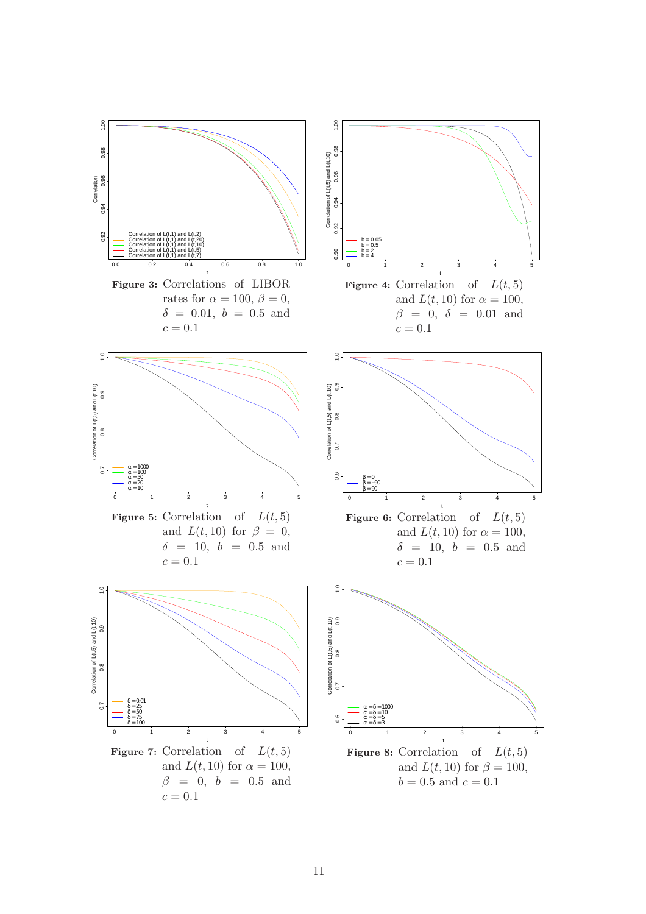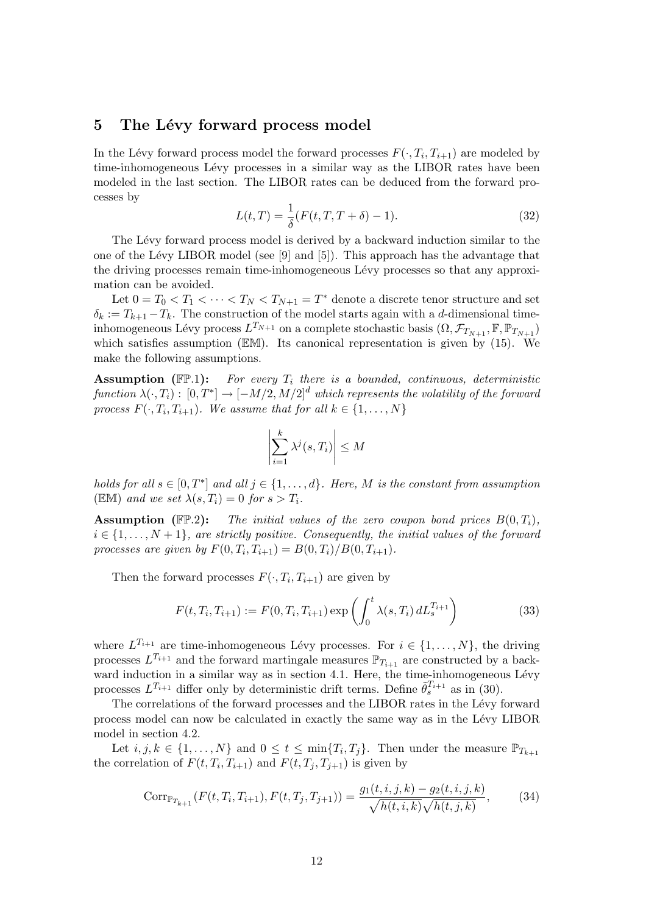### 5 The Lévy forward process model

In the Lévy forward process model the forward processes  $F(\cdot, T_i, T_{i+1})$  are modeled by time-inhomogeneous Lévy processes in a similar way as the LIBOR rates have been modeled in the last section. The LIBOR rates can be deduced from the forward processes by

$$
L(t,T) = \frac{1}{\delta}(F(t,T,T+\delta) - 1).
$$
 (32)

The Lévy forward process model is derived by a backward induction similar to the one of the Lévy LIBOR model (see  $[9]$  and  $[5]$ ). This approach has the advantage that the driving processes remain time-inhomogeneous Lévy processes so that any approximation can be avoided.

Let  $0 = T_0 < T_1 < \cdots < T_N < T_{N+1} = T^*$  denote a discrete tenor structure and set  $\delta_k := T_{k+1} - T_k$ . The construction of the model starts again with a d-dimensional timeinhomogeneous Lévy process  $L^{T_{N+1}}$  on a complete stochastic basis  $(\Omega, \mathcal{F}_{T_{N+1}}, \mathbb{F}, \mathbb{P}_{T_{N+1}})$ which satisfies assumption (EM). Its canonical representation is given by (15). We make the following assumptions.

**Assumption** ( $\mathbb{FP}.1$ ): For every  $T_i$  there is a bounded, continuous, deterministic  $function \lambda(\cdot,T_i): [0,T^*] \to [-M/2,M/2]^d$  which represents the volatility of the forward process  $F(\cdot, T_i, T_{i+1})$ . We assume that for all  $k \in \{1, ..., N\}$ 

$$
\left| \sum_{i=1}^{k} \lambda^{j}(s, T_{i}) \right| \leq M
$$

holds for all  $s \in [0, T^*]$  and all  $j \in \{1, ..., d\}$ . Here, M is the constant from assumption (EM) and we set  $\lambda(s,T_i) = 0$  for  $s > T_i$ .

**Assumption** (FP.2): The initial values of the zero coupon bond prices  $B(0,T_i)$ ,  $i \in \{1, \ldots, N+1\}$ , are strictly positive. Consequently, the initial values of the forward processes are given by  $F(0, T_i, T_{i+1}) = B(0, T_i)/B(0, T_{i+1}).$ 

Then the forward processes  $F(\cdot, T_i, T_{i+1})$  are given by

$$
F(t, T_i, T_{i+1}) := F(0, T_i, T_{i+1}) \exp\left(\int_0^t \lambda(s, T_i) dL_s^{T_{i+1}}\right)
$$
(33)

where  $L^{T_{i+1}}$  are time-inhomogeneous Lévy processes. For  $i \in \{1, ..., N\}$ , the driving processes  $L^{T_{i+1}}$  and the forward martingale measures  $\mathbb{P}_{T_{i+1}}$  are constructed by a backward induction in a similar way as in section 4.1. Here, the time-inhomogeneous Lévy processes  $L^{T_{i+1}}$  differ only by deterministic drift terms. Define  $\tilde{\theta}_s^{T_{i+1}}$  as in (30).

The correlations of the forward processes and the LIBOR rates in the Lévy forward process model can now be calculated in exactly the same way as in the L´evy LIBOR model in section 4.2.

Let  $i, j, k \in \{1, ..., N\}$  and  $0 \le t \le \min\{T_i, T_j\}$ . Then under the measure  $\mathbb{P}_{T_{k+1}}$ the correlation of  $F(t, T_i, T_{i+1})$  and  $F(t, T_j, T_{j+1})$  is given by

$$
Corr_{\mathbb{P}_{T_{k+1}}}(F(t, T_i, T_{i+1}), F(t, T_j, T_{j+1})) = \frac{g_1(t, i, j, k) - g_2(t, i, j, k)}{\sqrt{h(t, i, k)}\sqrt{h(t, j, k)}},
$$
(34)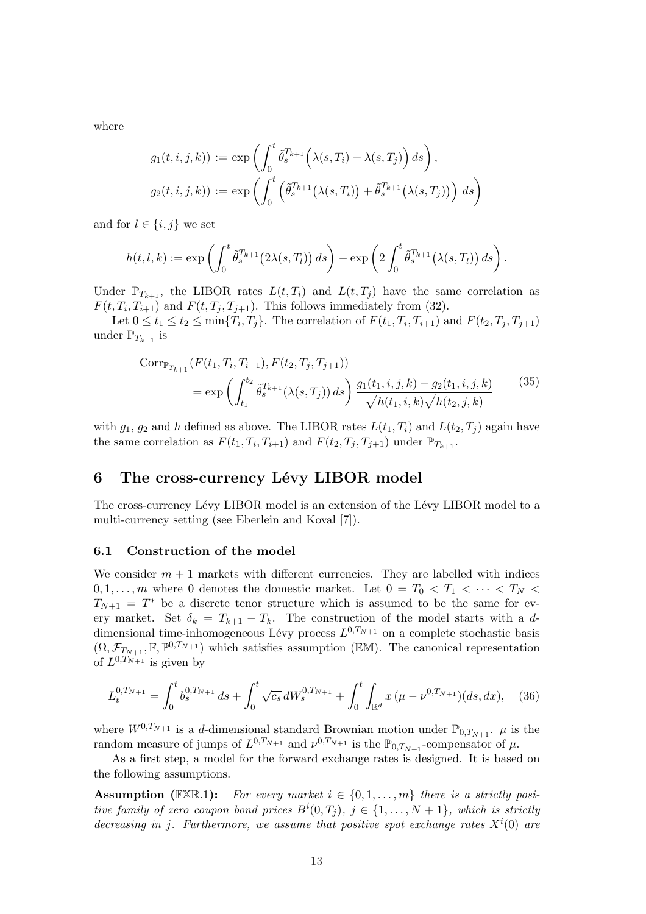where

$$
g_1(t, i, j, k) := \exp\left(\int_0^t \tilde{\theta}_s^{T_{k+1}}\left(\lambda(s, T_i) + \lambda(s, T_j)\right) ds\right),
$$
  

$$
g_2(t, i, j, k) := \exp\left(\int_0^t \left(\tilde{\theta}_s^{T_{k+1}}\left(\lambda(s, T_i)\right) + \tilde{\theta}_s^{T_{k+1}}\left(\lambda(s, T_j)\right)\right) ds\right)
$$

and for  $l \in \{i, j\}$  we set

$$
h(t,l,k) := \exp\left(\int_0^t \tilde{\theta}_s^{T_{k+1}}(2\lambda(s,T_l)) ds\right) - \exp\left(2\int_0^t \tilde{\theta}_s^{T_{k+1}}(\lambda(s,T_l)) ds\right).
$$

Under  $\mathbb{P}_{T_{k+1}}$ , the LIBOR rates  $L(t, T_i)$  and  $L(t, T_j)$  have the same correlation as  $F(t, T_i, T_{i+1})$  and  $F(t, T_j, T_{j+1})$ . This follows immediately from (32).

Let  $0 \le t_1 \le t_2 \le \min\{T_i, T_j\}$ . The correlation of  $F(t_1, T_i, T_{i+1})$  and  $F(t_2, T_j, T_{j+1})$ under  $\mathbb{P}_{T_{k+1}}$  is

$$
Corr_{\mathbb{P}_{T_{k+1}}}(F(t_1, T_i, T_{i+1}), F(t_2, T_j, T_{j+1}))
$$
  
= 
$$
\exp\left(\int_{t_1}^{t_2} \tilde{\theta}_s^{T_{k+1}}(\lambda(s, T_j)) ds\right) \frac{g_1(t_1, i, j, k) - g_2(t_1, i, j, k)}{\sqrt{h(t_1, i, k)}\sqrt{h(t_2, j, k)}}
$$
(35)

with  $g_1, g_2$  and h defined as above. The LIBOR rates  $L(t_1, T_i)$  and  $L(t_2, T_i)$  again have the same correlation as  $F(t_1, T_i, T_{i+1})$  and  $F(t_2, T_j, T_{j+1})$  under  $\mathbb{P}_{T_{k+1}}$ .

#### 6 The cross-currency Lévy LIBOR model

The cross-currency Lévy LIBOR model is an extension of the Lévy LIBOR model to a multi-currency setting (see Eberlein and Koval [7]).

#### 6.1 Construction of the model

We consider  $m + 1$  markets with different currencies. They are labelled with indices  $0, 1, \ldots, m$  where 0 denotes the domestic market. Let  $0 = T_0 < T_1 < \cdots < T_N <$  $T_{N+1} = T^*$  be a discrete tenor structure which is assumed to be the same for every market. Set  $\delta_k = T_{k+1} - T_k$ . The construction of the model starts with a ddimensional time-inhomogeneous Lévy process  $L^{0,T_{N+1}}$  on a complete stochastic basis  $(\Omega, \mathcal{F}_{T_{N+1}}, \mathbb{F}, \mathbb{P}^{0,T_{N+1}})$  which satisfies assumption ( $\mathbb{EM}$ ). The canonical representation of  $L^{0,T_{N+1}}$  is given by

$$
L_t^{0,T_{N+1}} = \int_0^t b_s^{0,T_{N+1}} ds + \int_0^t \sqrt{c_s} dW_s^{0,T_{N+1}} + \int_0^t \int_{\mathbb{R}^d} x (\mu - \nu^{0,T_{N+1}}) (ds, dx), \quad (36)
$$

where  $W^{0,T_{N+1}}$  is a d-dimensional standard Brownian motion under  $\mathbb{P}_{0,T_{N+1}}$ .  $\mu$  is the random measure of jumps of  $L^{0,T_{N+1}}$  and  $\nu^{0,T_{N+1}}$  is the  $\mathbb{P}_{0,T_{N+1}}$ -compensator of  $\mu$ .

As a first step, a model for the forward exchange rates is designed. It is based on the following assumptions.

**Assumption** (FXR.1): For every market  $i \in \{0, 1, ..., m\}$  there is a strictly positive family of zero coupon bond prices  $B^i(0,T_j)$ ,  $j \in \{1,\ldots,N+1\}$ , which is strictly decreasing in j. Furthermore, we assume that positive spot exchange rates  $X^{i}(0)$  are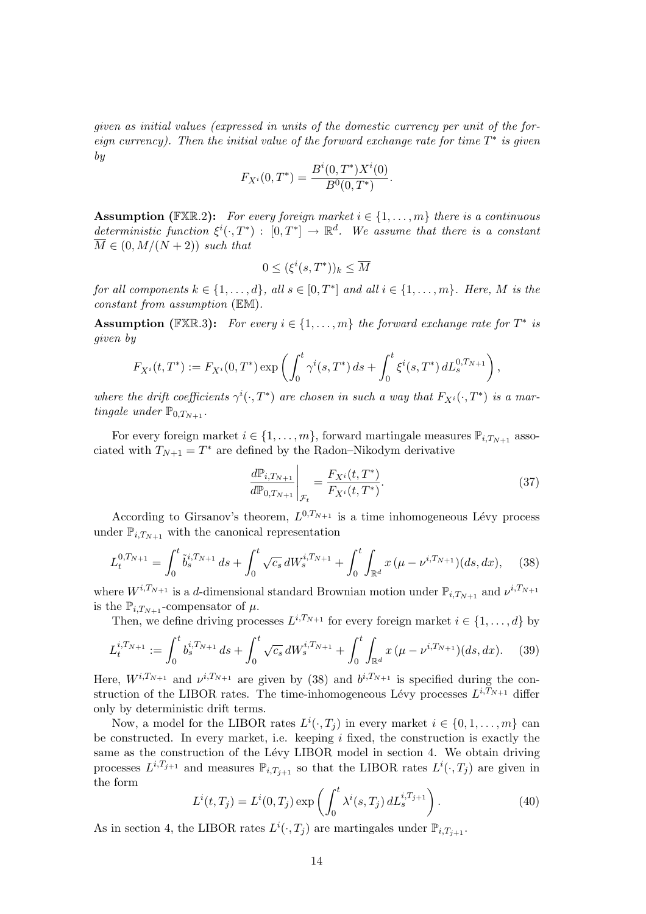given as initial values (expressed in units of the domestic currency per unit of the foreign currency). Then the initial value of the forward exchange rate for time  $T^*$  is given by

$$
F_{X^i}(0,T^*) = \frac{B^i(0,T^*)X^i(0)}{B^0(0,T^*)}.
$$

**Assumption** (FXR.2): For every foreign market  $i \in \{1, \ldots, m\}$  there is a continuous deterministic function  $\xi^{i}(\cdot,T^*)$ :  $[0,T^*] \to \mathbb{R}^d$ . We assume that there is a constant  $\overline{M} \in (0, M/(N+2))$  such that

$$
0 \le (\xi^i(s, T^*))_k \le \overline{M}
$$

for all components  $k \in \{1, \ldots, d\}$ , all  $s \in [0, T^*]$  and all  $i \in \{1, \ldots, m\}$ . Here, M is the constant from assumption (EM).

**Assumption** (FXR.3): For every  $i \in \{1, ..., m\}$  the forward exchange rate for  $T^*$  is given by

$$
F_{X^{i}}(t,T^{*}):=F_{X^{i}}(0,T^{*})\exp\left(\int_{0}^{t}\gamma^{i}(s,T^{*})ds+\int_{0}^{t}\xi^{i}(s,T^{*})dL_{s}^{0,T_{N+1}}\right),
$$

where the drift coefficients  $\gamma^{i}(\cdot,T^*)$  are chosen in such a way that  $F_{X^{i}}(\cdot,T^*)$  is a martingale under  $\mathbb{P}_{0,T_{N+1}}$ .

For every foreign market  $i \in \{1, \ldots, m\}$ , forward martingale measures  $\mathbb{P}_{i,T_{N+1}}$  associated with  $T_{N+1} = T^*$  are defined by the Radon–Nikodym derivative ¯

$$
\left. \frac{d\mathbb{P}_{i,T_{N+1}}}{d\mathbb{P}_{0,T_{N+1}}}\right|_{\mathcal{F}_t} = \frac{F_{X^i}(t,T^*)}{F_{X^i}(t,T^*)}.
$$
\n(37)

According to Girsanov's theorem,  $L^{0,T_{N+1}}$  is a time inhomogeneous Lévy process under  $\mathbb{P}_{i,T_{N+1}}$  with the canonical representation

$$
L_t^{0,T_{N+1}} = \int_0^t \tilde{b}_s^{i,T_{N+1}} ds + \int_0^t \sqrt{c_s} dW_s^{i,T_{N+1}} + \int_0^t \int_{\mathbb{R}^d} x (\mu - \nu^{i,T_{N+1}}) (ds, dx), \tag{38}
$$

where  $W^{i,T_{N+1}}$  is a d-dimensional standard Brownian motion under  $\mathbb{P}_{i,T_{N+1}}$  and  $\nu^{i,T_{N+1}}$ is the  $\mathbb{P}_{i,T_{N+1}}$ -compensator of  $\mu$ .

Then, we define driving processes  $L^{i,T_{N+1}}$  for every foreign market  $i \in \{1,\ldots,d\}$  by

$$
L_t^{i,T_{N+1}} := \int_0^t b_s^{i,T_{N+1}} ds + \int_0^t \sqrt{c_s} dW_s^{i,T_{N+1}} + \int_0^t \int_{\mathbb{R}^d} x (\mu - \nu^{i,T_{N+1}}) (ds, dx). \tag{39}
$$

Here,  $W^{i,T_{N+1}}$  and  $\nu^{i,T_{N+1}}$  are given by (38) and  $b^{i,T_{N+1}}$  is specified during the construction of the LIBOR rates. The time-inhomogeneous Lévy processes  $L^{i,T_{N+1}}$  differ only by deterministic drift terms.

Now, a model for the LIBOR rates  $L^i(\cdot, T_j)$  in every market  $i \in \{0, 1, \ldots, m\}$  can be constructed. In every market, i.e. keeping  $i$  fixed, the construction is exactly the same as the construction of the Lévy LIBOR model in section 4. We obtain driving processes  $L^{i,T_{j+1}}$  and measures  $\mathbb{P}_{i,T_{j+1}}$  so that the LIBOR rates  $L^{i}(\cdot,T_j)$  are given in the form  $\mathbf{r}$ 

$$
L^{i}(t, T_{j}) = L^{i}(0, T_{j}) \exp\left(\int_{0}^{t} \lambda^{i}(s, T_{j}) dL^{i, T_{j+1}}_{s}\right).
$$
 (40)

As in section 4, the LIBOR rates  $L^i(\cdot, T_j)$  are martingales under  $\mathbb{P}_{i,T_{j+1}}$ .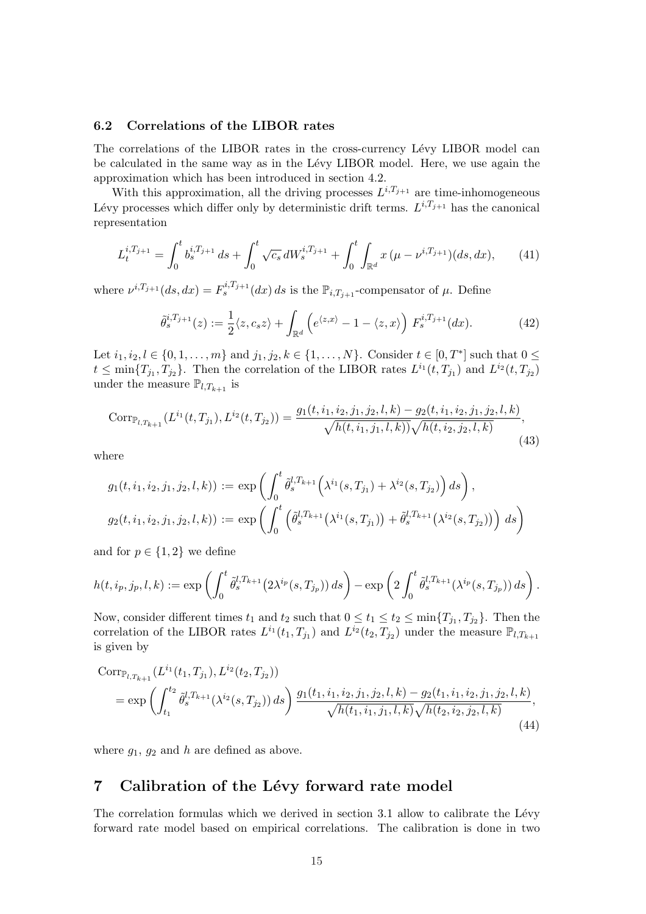#### 6.2 Correlations of the LIBOR rates

The correlations of the LIBOR rates in the cross-currency Lévy LIBOR model can be calculated in the same way as in the L´evy LIBOR model. Here, we use again the approximation which has been introduced in section 4.2.

With this approximation, all the driving processes  $L^{i,T_{j+1}}$  are time-inhomogeneous Lévy processes which differ only by deterministic drift terms.  $L^{i,T_{j+1}}$  has the canonical representation

$$
L_t^{i,T_{j+1}} = \int_0^t b_s^{i,T_{j+1}} ds + \int_0^t \sqrt{c_s} dW_s^{i,T_{j+1}} + \int_0^t \int_{\mathbb{R}^d} x (\mu - \nu^{i,T_{j+1}}) (ds, dx), \tag{41}
$$

where  $\nu^{i,T_{j+1}}(ds, dx) = F_s^{i,T_{j+1}}(dx) ds$  is the  $\mathbb{P}_{i,T_{j+1}}$ -compensator of  $\mu$ . Define

$$
\tilde{\theta}_s^{i,T_{j+1}}(z) := \frac{1}{2} \langle z, c_s z \rangle + \int_{\mathbb{R}^d} \left( e^{\langle z, x \rangle} - 1 - \langle z, x \rangle \right) F_s^{i,T_{j+1}}(dx). \tag{42}
$$

Let  $i_1, i_2, l \in \{0, 1, ..., m\}$  and  $j_1, j_2, k \in \{1, ..., N\}$ . Consider  $t \in [0, T^*]$  such that  $0 \le$  $t \le \min\{T_{j_1}, T_{j_2}\}.$  Then the correlation of the LIBOR rates  $L^{i_1}(t, T_{j_1})$  and  $L^{i_2}(t, T_{j_2})$ under the measure  $\mathbb{P}_{l,T_{k+1}}$  is

$$
Corr_{\mathbb{P}_{l,T_{k+1}}}(L^{i_1}(t,T_{j_1}),L^{i_2}(t,T_{j_2})) = \frac{g_1(t,i_1,i_2,j_1,j_2,l,k) - g_2(t,i_1,i_2,j_1,j_2,l,k)}{\sqrt{h(t,i_1,j_1,l,k))}\sqrt{h(t,i_2,j_2,l,k)}},\tag{43}
$$

where

$$
g_1(t, i_1, i_2, j_1, j_2, l, k)) := \exp\left(\int_0^t \tilde{\theta}_s^{l, T_{k+1}} \left(\lambda^{i_1}(s, T_{j_1}) + \lambda^{i_2}(s, T_{j_2})\right) ds\right),
$$
  

$$
g_2(t, i_1, i_2, j_1, j_2, l, k)) := \exp\left(\int_0^t \left(\tilde{\theta}_s^{l, T_{k+1}} \left(\lambda^{i_1}(s, T_{j_1})\right) + \tilde{\theta}_s^{l, T_{k+1}} \left(\lambda^{i_2}(s, T_{j_2})\right)\right) ds\right)
$$

and for  $p \in \{1, 2\}$  we define

$$
h(t,i_p,j_p,l,k) := \exp\left(\int_0^t \tilde{\theta}_s^{l,T_{k+1}}\big(2\lambda^{i_p}(s,T_{j_p})\big)\,ds\right) - \exp\left(2\int_0^t \tilde{\theta}_s^{l,T_{k+1}}(\lambda^{i_p}(s,T_{j_p}))\,ds\right).
$$

Now, consider different times  $t_1$  and  $t_2$  such that  $0 \le t_1 \le t_2 \le \min\{T_{j_1}, T_{j_2}\}$ . Then the correlation of the LIBOR rates  $L^{i_1}(t_1, T_{j_1})$  and  $L^{i_2}(t_2, T_{j_2})$  under the measure  $\mathbb{P}_{l,T_{k+1}}$ is given by

$$
Corr_{\mathbb{P}_{l,T_{k+1}}}(L^{i_1}(t_1, T_{j_1}), L^{i_2}(t_2, T_{j_2}))
$$
  
= 
$$
\exp\left(\int_{t_1}^{t_2} \tilde{\theta}_s^{l,T_{k+1}}(\lambda^{i_2}(s, T_{j_2})) ds\right) \frac{g_1(t_1, i_1, i_2, j_1, j_2, l, k) - g_2(t_1, i_1, i_2, j_1, j_2, l, k)}{\sqrt{h(t_1, i_1, j_1, l, k)}\sqrt{h(t_2, i_2, j_2, l, k)}}
$$
<sup>(44)</sup>

where  $g_1, g_2$  and h are defined as above.

### 7 Calibration of the Lévy forward rate model

The correlation formulas which we derived in section  $3.1$  allow to calibrate the Lévy forward rate model based on empirical correlations. The calibration is done in two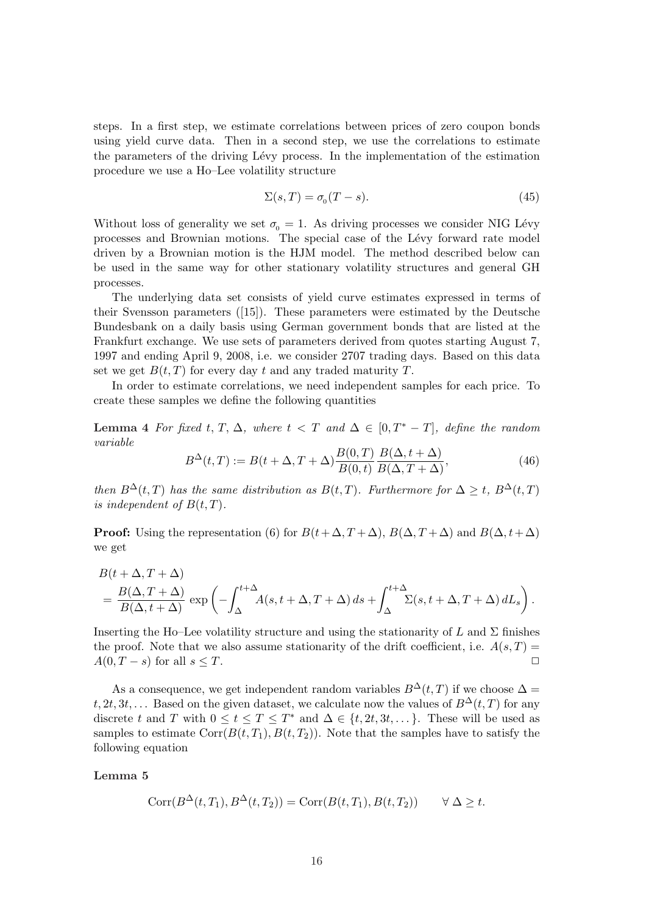steps. In a first step, we estimate correlations between prices of zero coupon bonds using yield curve data. Then in a second step, we use the correlations to estimate the parameters of the driving Lévy process. In the implementation of the estimation procedure we use a Ho–Lee volatility structure

$$
\Sigma(s,T) = \sigma_0(T-s). \tag{45}
$$

Without loss of generality we set  $\sigma_0 = 1$ . As driving processes we consider NIG Lévy processes and Brownian motions. The special case of the Lévy forward rate model driven by a Brownian motion is the HJM model. The method described below can be used in the same way for other stationary volatility structures and general GH processes.

The underlying data set consists of yield curve estimates expressed in terms of their Svensson parameters  $([15])$ . These parameters were estimated by the Deutsche Bundesbank on a daily basis using German government bonds that are listed at the Frankfurt exchange. We use sets of parameters derived from quotes starting August 7, 1997 and ending April 9, 2008, i.e. we consider 2707 trading days. Based on this data set we get  $B(t, T)$  for every day t and any traded maturity T.

In order to estimate correlations, we need independent samples for each price. To create these samples we define the following quantities

Lemma 4 For fixed t, T,  $\Delta$ , where  $t < T$  and  $\Delta \in [0, T^* - T]$ , define the random variable

$$
B^{\Delta}(t,T) := B(t+\Delta,T+\Delta)\frac{B(0,T)}{B(0,t)}\frac{B(\Delta,t+\Delta)}{B(\Delta,T+\Delta)},
$$
\n(46)

then  $B^{\Delta}(t,T)$  has the same distribution as  $B(t,T)$ . Furthermore for  $\Delta \geq t$ ,  $B^{\Delta}(t,T)$ is independent of  $B(t,T)$ .

**Proof:** Using the representation (6) for  $B(t+\Delta, T+\Delta)$ ,  $B(\Delta, T+\Delta)$  and  $B(\Delta, t+\Delta)$ we get

$$
B(t + \Delta, T + \Delta)
$$
  
=  $\frac{B(\Delta, T + \Delta)}{B(\Delta, t + \Delta)}$  exp $\left(-\int_{\Delta}^{t + \Delta} A(s, t + \Delta, T + \Delta) ds + \int_{\Delta}^{t + \Delta} \Sigma(s, t + \Delta, T + \Delta) dL_s\right)$ .

Inserting the Ho–Lee volatility structure and using the stationarity of L and  $\Sigma$  finishes the proof. Note that we also assume stationarity of the drift coefficient, i.e.  $A(s,T)$  =  $A(0, T - s)$  for all  $s \leq T$ .

As a consequence, we get independent random variables  $B^{\Delta}(t, T)$  if we choose  $\Delta =$ t, 2t, 3t, ... Based on the given dataset, we calculate now the values of  $B^{\Delta}(t,T)$  for any discrete t and T with  $0 \le t \le T \le T^*$  and  $\Delta \in \{t, 2t, 3t, \dots\}$ . These will be used as samples to estimate  $Corr(B(t, T_1), B(t, T_2))$ . Note that the samples have to satisfy the following equation

#### Lemma 5

$$
Corr(B^{\Delta}(t,T_1), B^{\Delta}(t,T_2)) = Corr(B(t,T_1), B(t,T_2)) \qquad \forall \Delta \ge t.
$$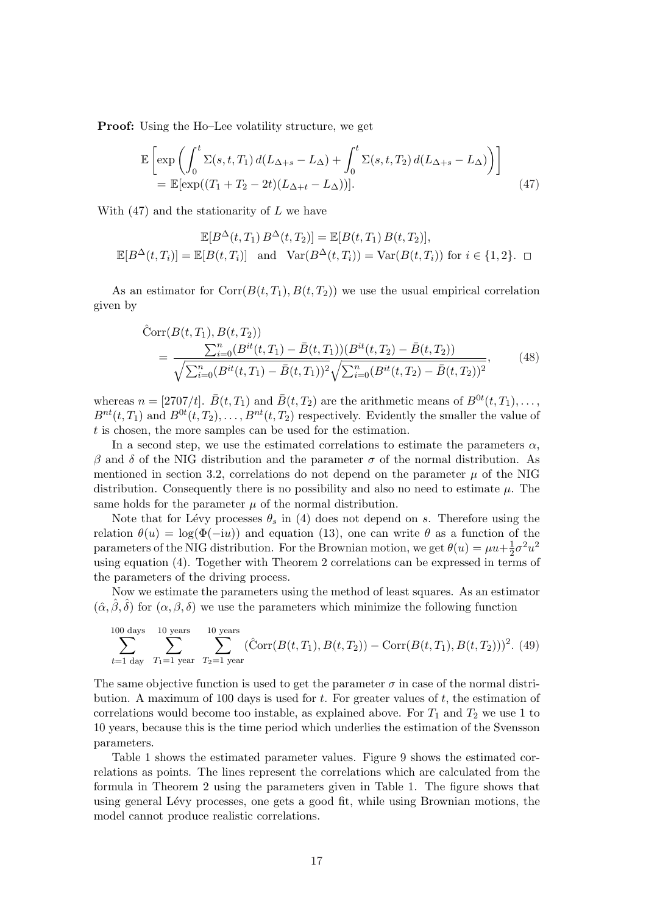Proof: Using the Ho–Lee volatility structure, we get

$$
\mathbb{E}\left[\exp\left(\int_0^t \Sigma(s, t, T_1) d(L_{\Delta+s} - L_{\Delta}) + \int_0^t \Sigma(s, t, T_2) d(L_{\Delta+s} - L_{\Delta})\right)\right]
$$
\n
$$
= \mathbb{E}[\exp((T_1 + T_2 - 2t)(L_{\Delta+t} - L_{\Delta}))]. \tag{47}
$$

With  $(47)$  and the stationarity of L we have

$$
\mathbb{E}[B^{\Delta}(t, T_1) B^{\Delta}(t, T_2)] = \mathbb{E}[B(t, T_1) B(t, T_2)],
$$
  

$$
\mathbb{E}[B^{\Delta}(t, T_i)] = \mathbb{E}[B(t, T_i)] \text{ and } \text{Var}(B^{\Delta}(t, T_i)) = \text{Var}(B(t, T_i)) \text{ for } i \in \{1, 2\}.
$$

As an estimator for Corr $(B(t, T_1), B(t, T_2))$  we use the usual empirical correlation given by

$$
\hat{C}orr(B(t, T_1), B(t, T_2))
$$
\n
$$
= \frac{\sum_{i=0}^{n} (B^{it}(t, T_1) - \bar{B}(t, T_1))(B^{it}(t, T_2) - \bar{B}(t, T_2))}{\sqrt{\sum_{i=0}^{n} (B^{it}(t, T_1) - \bar{B}(t, T_1))^2} \sqrt{\sum_{i=0}^{n} (B^{it}(t, T_2) - \bar{B}(t, T_2))^2}},
$$
\n(48)

whereas  $n = [2707/t]$ .  $\bar{B}(t, T_1)$  and  $\bar{B}(t, T_2)$  are the arithmetic means of  $B^{0t}(t, T_1), \ldots$ ,  $B^{nt}(t,T_1)$  and  $B^{0t}(t,T_2),\ldots,B^{nt}(t,T_2)$  respectively. Evidently the smaller the value of t is chosen, the more samples can be used for the estimation.

In a second step, we use the estimated correlations to estimate the parameters  $\alpha$ , β and δ of the NIG distribution and the parameter  $\sigma$  of the normal distribution. As mentioned in section 3.2, correlations do not depend on the parameter  $\mu$  of the NIG distribution. Consequently there is no possibility and also no need to estimate  $\mu$ . The same holds for the parameter  $\mu$  of the normal distribution.

Note that for Lévy processes  $\theta_s$  in (4) does not depend on s. Therefore using the relation  $\theta(u) = \log(\Phi(-iu))$  and equation (13), one can write  $\theta$  as a function of the parameters of the NIG distribution. For the Brownian motion, we get  $\theta(u) = \mu u + \frac{1}{2}$  $rac{1}{2}\sigma^2 u^2$ using equation (4). Together with Theorem 2 correlations can be expressed in terms of the parameters of the driving process.

Now we estimate the parameters using the method of least squares. As an estimator  $(\hat{\alpha}, \hat{\beta}, \hat{\delta})$  for  $(\alpha, \beta, \delta)$  we use the parameters which minimize the following function

$$
\sum_{t=1 \text{ day}}^{100 \text{ days}} \sum_{T_1=1 \text{ year}}^{10 \text{ years}} \sum_{T_2=1 \text{ year}}^{10 \text{ years}} (\hat{\text{Corr}}(B(t, T_1), B(t, T_2)) - \text{Corr}(B(t, T_1), B(t, T_2)))^2.
$$
 (49)

The same objective function is used to get the parameter  $\sigma$  in case of the normal distribution. A maximum of 100 days is used for  $t$ . For greater values of  $t$ , the estimation of correlations would become too instable, as explained above. For  $T_1$  and  $T_2$  we use 1 to 10 years, because this is the time period which underlies the estimation of the Svensson parameters.

Table 1 shows the estimated parameter values. Figure 9 shows the estimated correlations as points. The lines represent the correlations which are calculated from the formula in Theorem 2 using the parameters given in Table 1. The figure shows that using general Lévy processes, one gets a good fit, while using Brownian motions, the model cannot produce realistic correlations.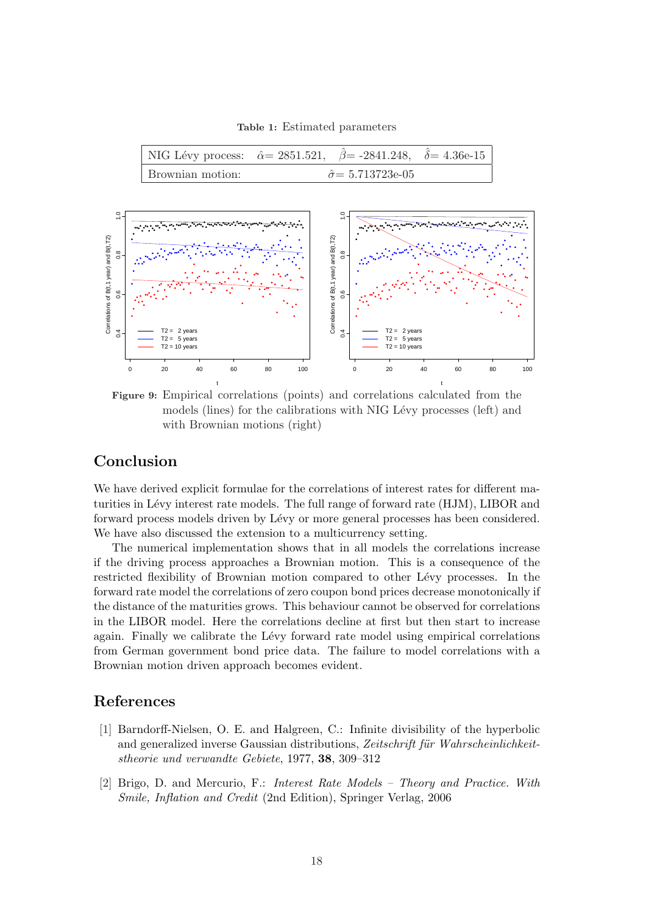Table 1: Estimated parameters

|                  | NIG Lévy process: $\hat{\alpha} = 2851.521$ , $\hat{\beta} = -2841.248$ , $\hat{\delta} = 4.36e-15$ |  |
|------------------|-----------------------------------------------------------------------------------------------------|--|
| Brownian motion: | $\hat{\sigma} = 5.713723$ e-05                                                                      |  |



Figure 9: Empirical correlations (points) and correlations calculated from the models (lines) for the calibrations with NIG Lévy processes (left) and with Brownian motions (right)

# Conclusion

We have derived explicit formulae for the correlations of interest rates for different maturities in Lévy interest rate models. The full range of forward rate (HJM), LIBOR and forward process models driven by Lévy or more general processes has been considered. We have also discussed the extension to a multicurrency setting.

The numerical implementation shows that in all models the correlations increase if the driving process approaches a Brownian motion. This is a consequence of the restricted flexibility of Brownian motion compared to other Lévy processes. In the forward rate model the correlations of zero coupon bond prices decrease monotonically if the distance of the maturities grows. This behaviour cannot be observed for correlations in the LIBOR model. Here the correlations decline at first but then start to increase again. Finally we calibrate the Lévy forward rate model using empirical correlations from German government bond price data. The failure to model correlations with a Brownian motion driven approach becomes evident.

## References

- [1] Barndorff-Nielsen, O. E. and Halgreen, C.: Infinite divisibility of the hyperbolic and generalized inverse Gaussian distributions, Zeitschrift für Wahrscheinlichkeitstheorie und verwandte Gebiete, 1977, 38, 309–312
- [2] Brigo, D. and Mercurio, F.: Interest Rate Models Theory and Practice. With Smile, Inflation and Credit (2nd Edition), Springer Verlag, 2006